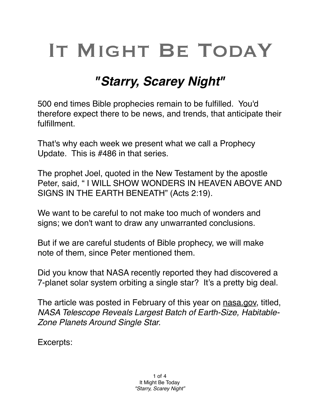## IT MIGHT BE TODAY

## *"Starry, Scarey Night"*

500 end times Bible prophecies remain to be fulfilled. You'd therefore expect there to be news, and trends, that anticipate their fulfillment.

That's why each week we present what we call a Prophecy Update. This is #486 in that series.

The prophet Joel, quoted in the New Testament by the apostle Peter, said, " I WILL SHOW WONDERS IN HEAVEN ABOVE AND SIGNS IN THE EARTH BENEATH" (Acts 2:19).

We want to be careful to not make too much of wonders and signs; we don't want to draw any unwarranted conclusions.

But if we are careful students of Bible prophecy, we will make note of them, since Peter mentioned them.

Did you know that NASA recently reported they had discovered a 7-planet solar system orbiting a single star? It's a pretty big deal.

The article was posted in February of this year on [nasa.gov,](http://nasa.gov) titled, *NASA Telescope Reveals Largest Batch of Earth-Size, Habitable-Zone Planets Around Single Star.*

Excerpts: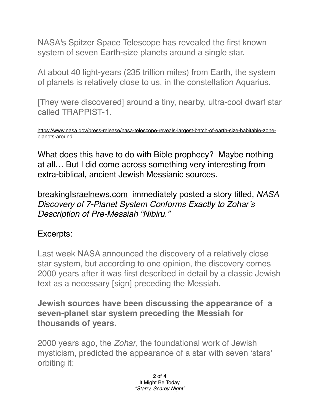[NASA](https://exoplanets.nasa.gov/trappist1)'[s Spitzer Space Telescope has revealed the first known](https://exoplanets.nasa.gov/trappist1)  [system of seven Earth-size planets around a single star.](https://exoplanets.nasa.gov/trappist1)

At about 40 light-years (235 trillion miles) from Earth, the system of planets is relatively close to us, in the constellation Aquarius.

[They were discovered] around a tiny, nearby, ultra-cool dwarf star called TRAPPIST-1.

[https://www.nasa.gov/press-release/nasa-telescope-reveals-largest-batch-of-earth-size-habitable-zone](https://www.nasa.gov/press-release/nasa-telescope-reveals-largest-batch-of-earth-size-habitable-zone-planets-around)[planets-around](https://www.nasa.gov/press-release/nasa-telescope-reveals-largest-batch-of-earth-size-habitable-zone-planets-around)

What does this have to do with Bible prophecy? Maybe nothing at all… But I did come across something very interesting from extra-biblical, ancient Jewish Messianic sources.

breakingIsrae[lnews.com](http://news.com) immediately posted a story titled, *NASA Discovery of 7-Planet System Conforms Exactly to Zohar's Description of Pre-Messiah "Nibiru."*

## Excerpts:

Last week NASA announced the discovery of a relatively close star system, but according to one opinion, the discovery comes 2000 years after it was first described in detail by a classic Jewish text as a necessary [sign] preceding the Messiah.

**Jewish sources have been discussing the appearance of a seven-planet star system preceding the Messiah for thousands of years.**

2000 years ago, the *Zohar*, the foundational work of Jewish mysticism, predicted the appearance of a star with seven 'stars' orbiting it:

> 2 of 4 It Might Be Today *"Starry, Scarey Night"*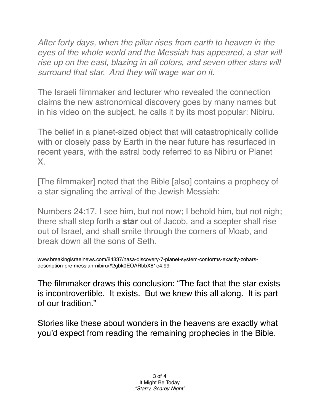*After forty days, when the pillar rises from earth to heaven in the eyes of the whole world and the Messiah has appeared, a star will rise up on the east, blazing in all colors, and seven other stars will surround that star. And they will wage war on it.*

The Israeli filmmaker and lecturer who revealed the connection claims the new astronomical discovery goes by many names but in his video on the subject, he calls it by its most popular: Nibiru.

The belief in a planet-sized object that will catastrophically collide with or closely pass by Earth in the near future has resurfaced in recent years, with the astral body referred to as Nibiru or Planet X.

[The filmmaker] noted that the Bible [also] contains a [prophecy](https://www.breakingisraelnews.com/81808/new-star-appear-night-sky-heralding-balaams-prophecy-messiah/) of a star signaling the arrival of the Jewish Messiah:

Numbers 24:17. I see him, but not now; I behold him, but not nigh; there shall step forth a **star** out of Jacob, and a scepter shall rise out of Israel, and shall smite through the corners of [Moab,](https://theisraelbible.com/glossary/moav/) and break down all the sons of Seth.

www.breakingisraelnews.com/84337/nasa-discovery-7-planet-system-conforms-exactly-zoharsdescription-pre-messiah-nibiru/#2gbk0EOARbbX81e4.99

The filmmaker draws this conclusion: "The fact that the star exists is incontrovertible. It exists. But we knew this all along. It is part of our tradition."

Stories like these about wonders in the heavens are exactly what you'd expect from reading the remaining prophecies in the Bible.